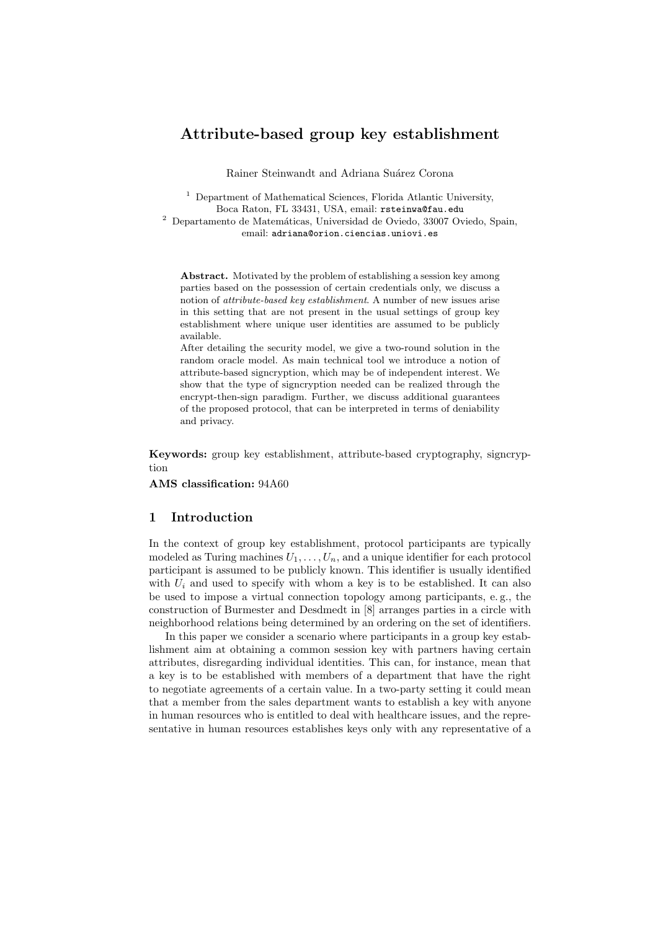# Attribute-based group key establishment

Rainer Steinwandt and Adriana Suárez Corona

<sup>1</sup> Department of Mathematical Sciences, Florida Atlantic University, Boca Raton, FL 33431, USA, email: rsteinwa@fau.edu

 $^2$  Departamento de Matemáticas, Universidad de Oviedo, 33007 Oviedo, Spain, email: adriana@orion.ciencias.uniovi.es

Abstract. Motivated by the problem of establishing a session key among parties based on the possession of certain credentials only, we discuss a notion of attribute-based key establishment. A number of new issues arise in this setting that are not present in the usual settings of group key establishment where unique user identities are assumed to be publicly available.

After detailing the security model, we give a two-round solution in the random oracle model. As main technical tool we introduce a notion of attribute-based signcryption, which may be of independent interest. We show that the type of signcryption needed can be realized through the encrypt-then-sign paradigm. Further, we discuss additional guarantees of the proposed protocol, that can be interpreted in terms of deniability and privacy.

Keywords: group key establishment, attribute-based cryptography, signcryption

AMS classification: 94A60

## 1 Introduction

In the context of group key establishment, protocol participants are typically modeled as Turing machines  $U_1, \ldots, U_n$ , and a unique identifier for each protocol participant is assumed to be publicly known. This identifier is usually identified with  $U_i$  and used to specify with whom a key is to be established. It can also be used to impose a virtual connection topology among participants, e. g., the construction of Burmester and Desdmedt in [8] arranges parties in a circle with neighborhood relations being determined by an ordering on the set of identifiers.

In this paper we consider a scenario where participants in a group key establishment aim at obtaining a common session key with partners having certain attributes, disregarding individual identities. This can, for instance, mean that a key is to be established with members of a department that have the right to negotiate agreements of a certain value. In a two-party setting it could mean that a member from the sales department wants to establish a key with anyone in human resources who is entitled to deal with healthcare issues, and the representative in human resources establishes keys only with any representative of a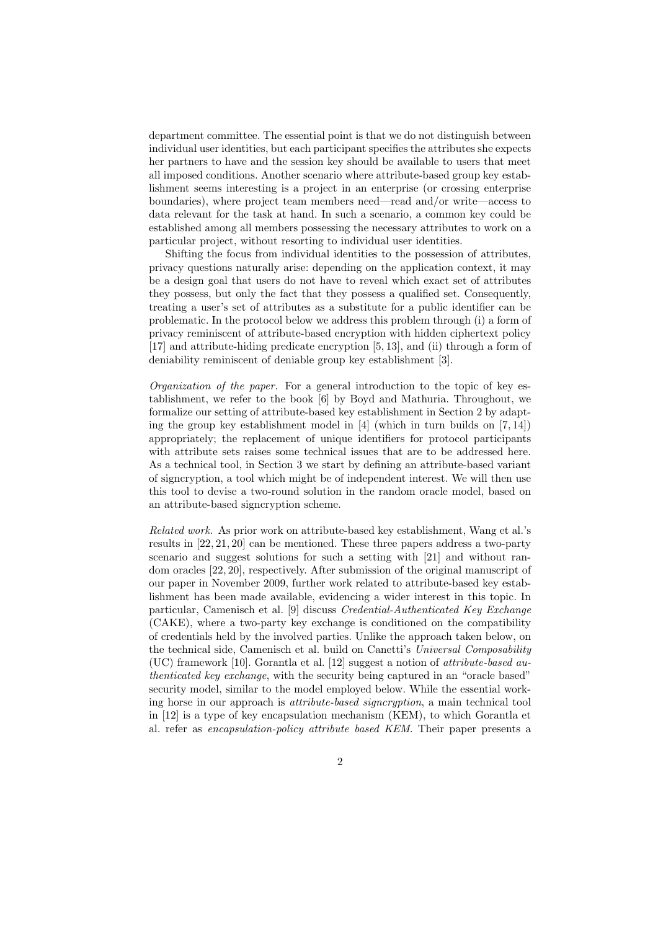department committee. The essential point is that we do not distinguish between individual user identities, but each participant specifies the attributes she expects her partners to have and the session key should be available to users that meet all imposed conditions. Another scenario where attribute-based group key establishment seems interesting is a project in an enterprise (or crossing enterprise boundaries), where project team members need—read and/or write—access to data relevant for the task at hand. In such a scenario, a common key could be established among all members possessing the necessary attributes to work on a particular project, without resorting to individual user identities.

Shifting the focus from individual identities to the possession of attributes, privacy questions naturally arise: depending on the application context, it may be a design goal that users do not have to reveal which exact set of attributes they possess, but only the fact that they possess a qualified set. Consequently, treating a user's set of attributes as a substitute for a public identifier can be problematic. In the protocol below we address this problem through (i) a form of privacy reminiscent of attribute-based encryption with hidden ciphertext policy [17] and attribute-hiding predicate encryption [5, 13], and (ii) through a form of deniability reminiscent of deniable group key establishment [3].

Organization of the paper. For a general introduction to the topic of key establishment, we refer to the book [6] by Boyd and Mathuria. Throughout, we formalize our setting of attribute-based key establishment in Section 2 by adapting the group key establishment model in [4] (which in turn builds on [7, 14]) appropriately; the replacement of unique identifiers for protocol participants with attribute sets raises some technical issues that are to be addressed here. As a technical tool, in Section 3 we start by defining an attribute-based variant of signcryption, a tool which might be of independent interest. We will then use this tool to devise a two-round solution in the random oracle model, based on an attribute-based signcryption scheme.

Related work. As prior work on attribute-based key establishment, Wang et al.'s results in [22, 21, 20] can be mentioned. These three papers address a two-party scenario and suggest solutions for such a setting with [21] and without random oracles [22, 20], respectively. After submission of the original manuscript of our paper in November 2009, further work related to attribute-based key establishment has been made available, evidencing a wider interest in this topic. In particular, Camenisch et al. [9] discuss Credential-Authenticated Key Exchange (CAKE), where a two-party key exchange is conditioned on the compatibility of credentials held by the involved parties. Unlike the approach taken below, on the technical side, Camenisch et al. build on Canetti's Universal Composability (UC) framework [10]. Gorantla et al. [12] suggest a notion of *attribute-based au*thenticated key exchange, with the security being captured in an "oracle based" security model, similar to the model employed below. While the essential working horse in our approach is attribute-based signcryption, a main technical tool in [12] is a type of key encapsulation mechanism (KEM), to which Gorantla et al. refer as encapsulation-policy attribute based KEM. Their paper presents a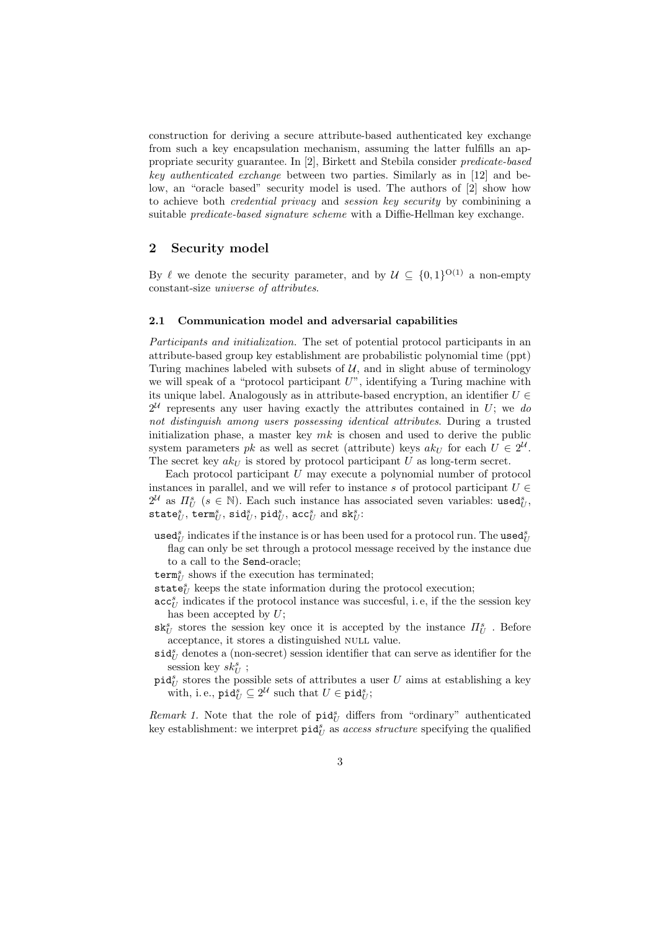construction for deriving a secure attribute-based authenticated key exchange from such a key encapsulation mechanism, assuming the latter fulfills an appropriate security guarantee. In [2], Birkett and Stebila consider predicate-based key authenticated exchange between two parties. Similarly as in [12] and below, an "oracle based" security model is used. The authors of [2] show how to achieve both credential privacy and session key security by combinining a suitable *predicate-based signature scheme* with a Diffie-Hellman key exchange.

## 2 Security model

By  $\ell$  we denote the security parameter, and by  $\mathcal{U} \subseteq \{0,1\}^{O(1)}$  a non-empty constant-size universe of attributes.

#### 2.1 Communication model and adversarial capabilities

Participants and initialization. The set of potential protocol participants in an attribute-based group key establishment are probabilistic polynomial time (ppt) Turing machines labeled with subsets of  $U$ , and in slight abuse of terminology we will speak of a "protocol participant  $U$ ", identifying a Turing machine with its unique label. Analogously as in attribute-based encryption, an identifier  $U \in$  $2^{\mathcal{U}}$  represents any user having exactly the attributes contained in U; we do not distinguish among users possessing identical attributes. During a trusted initialization phase, a master key  $mk$  is chosen and used to derive the public system parameters pk as well as secret (attribute) keys  $ak_U$  for each  $U \in 2^{\mathcal{U}}$ . The secret key  $akU$  is stored by protocol participant U as long-term secret.

Each protocol participant  $U$  may execute a polynomial number of protocol instances in parallel, and we will refer to instance s of protocol participant  $U \in$  $2^{\mathcal{U}}$  as  $\Pi_{U}^{s}$  ( $s \in \mathbb{N}$ ). Each such instance has associated seven variables: used $_{U}^{s}$ ,  $\mathtt{state}^s_U, \, \mathtt{term}^s_U, \, \mathtt{sid}^s_U, \, \mathtt{pid}^s_U, \, \mathtt{acc}^s_U \text{ and } \mathtt{sk}^s_U.$ 

- ${\sf used}_U^s$  indicates if the instance is or has been used for a protocol run. The  ${\sf used}_U^s$ flag can only be set through a protocol message received by the instance due to a call to the Send-oracle;
- $\texttt{term}^s_U$  shows if the execution has terminated;
- $\texttt{state}^s_U$  keeps the state information during the protocol execution;
- $\mathsf{acc}^s_U$  indicates if the protocol instance was succesful, i.e, if the the session key has been accepted by  $U$ ;
- $\mathtt{sk}^s_U$  stores the session key once it is accepted by the instance  $\Pi^s_U$ . Before acceptance, it stores a distinguished NULL value.
- $\mathsf{sid}^s_U$  denotes a (non-secret) session identifier that can serve as identifier for the session key  $sk_U^s$ ;
- $\text{pid}_U^s$  stores the possible sets of attributes a user U aims at establishing a key with, i.e.,  $\text{pid}_U^s \subseteq 2^{\mathcal{U}}$  such that  $U \in \text{pid}_U^s$ ;

Remark 1. Note that the role of  $\text{pid}_U^s$  differs from "ordinary" authenticated key establishment: we interpret  $\text{pid}_U^s$  as access structure specifying the qualified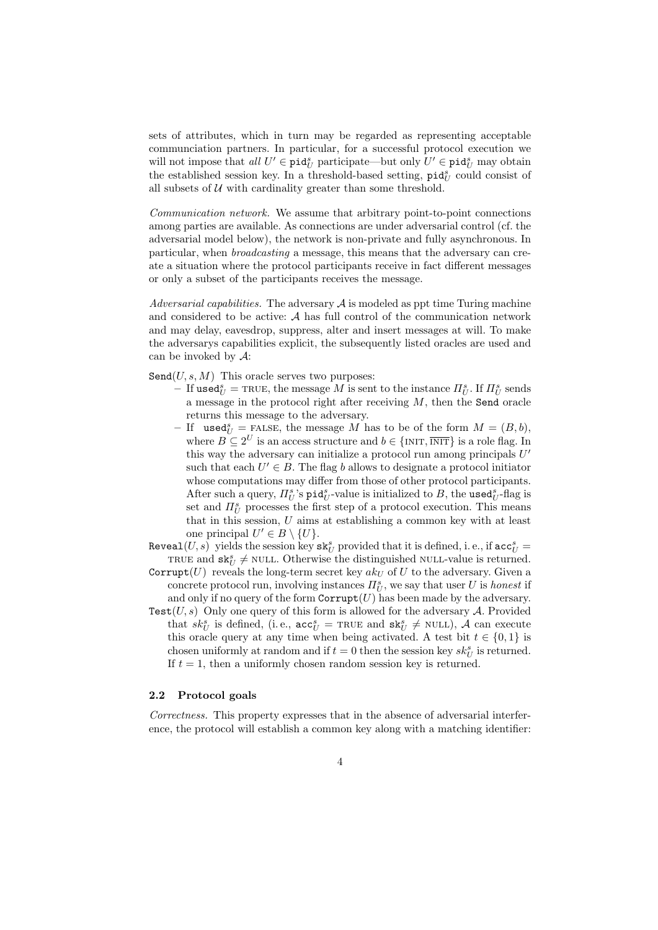sets of attributes, which in turn may be regarded as representing acceptable communciation partners. In particular, for a successful protocol execution we will not impose that  $all U' \in \text{pid}_{U}^{s}$  participate—but only  $U' \in \text{pid}_{U}^{s}$  may obtain the established session key. In a threshold-based setting,  $\text{pid}^s_U$  could consist of all subsets of  $U$  with cardinality greater than some threshold.

Communication network. We assume that arbitrary point-to-point connections among parties are available. As connections are under adversarial control (cf. the adversarial model below), the network is non-private and fully asynchronous. In particular, when broadcasting a message, this means that the adversary can create a situation where the protocol participants receive in fact different messages or only a subset of the participants receives the message.

Adversarial capabilities. The adversary  $A$  is modeled as ppt time Turing machine and considered to be active: A has full control of the communication network and may delay, eavesdrop, suppress, alter and insert messages at will. To make the adversarys capabilities explicit, the subsequently listed oracles are used and can be invoked by  $A$ :

 $Send(U, s, M)$  This oracle serves two purposes:

- $-\operatorname{If} \text{used}_U^s = \textsc{true}, \text{ the message } M \text{ is sent to the instance } \varPi^s_U. \text{ If } \varPi^s_U \text{ sends } \varPi^s_U \text{ and } \varPi^s_U \text{ and } \varPi^s_U \text{ and } \varPi^s_U \text{ and } \varPi^s_U \text{ and } \varPi^s_U \text{ and } \varPi^s_U \text{ and } \varPi^s_U \text{ and } \varPi^s_U \text{ and } \varPi^s_U \text{ and } \varPi^s_U \text{ and } \varPi^s_U \text{ and } \varPi^s_U \text{ and } \varPi^s_U \text{ and } \varPi^s_U$ a message in the protocol right after receiving  $M$ , then the Send oracle returns this message to the adversary.
- If used $S_U^s =$ FALSE, the message M has to be of the form  $M = (B, b)$ , where  $B \subseteq 2^U$  is an access structure and  $b \in \{\text{INIT}, \overline{\text{INIT}}\}$  is a role flag. In this way the adversary can initialize a protocol run among principals  $U'$ such that each  $U' \in B$ . The flag b allows to designate a protocol initiator whose computations may differ from those of other protocol participants. After such a query,  $\Pi_U^s$ 's pid $_U^s$ -value is initialized to B, the used $_U^s$ -flag is set and  $\Pi_U^s$  processes the first step of a protocol execution. This means that in this session, U aims at establishing a common key with at least one principal  $U' \in B \setminus \{U\}.$
- $\mathtt{Reveal}(U,s)$  yields the session  $\ker\mathtt{sk}^s_U$  provided that it is defined, i. e., if  $\mathtt{acc}^s_U =$ TRUE and  $\mathsf{sk}^s_U \neq \text{NULL}$ . Otherwise the distinguished NULL-value is returned.
- Corrupt(U) reveals the long-term secret key  $ak<sub>U</sub>$  of U to the adversary. Given a concrete protocol run, involving instances  $\Pi_U^s$ , we say that user U is honest if and only if no query of the form  $\text{Corrupt}(U)$  has been made by the adversary.
- Test $(U, s)$  Only one query of this form is allowed for the adversary A. Provided that  $sk_U^s$  is defined, (i.e.,  $acc_U^s$  = TRUE and  $sk_U^s \neq$  NULL),  $\mathcal A$  can execute this oracle query at any time when being activated. A test bit  $t \in \{0, 1\}$  is chosen uniformly at random and if  $t = 0$  then the session key  $sk_U^s$  is returned. If  $t = 1$ , then a uniformly chosen random session key is returned.

#### 2.2 Protocol goals

Correctness. This property expresses that in the absence of adversarial interference, the protocol will establish a common key along with a matching identifier: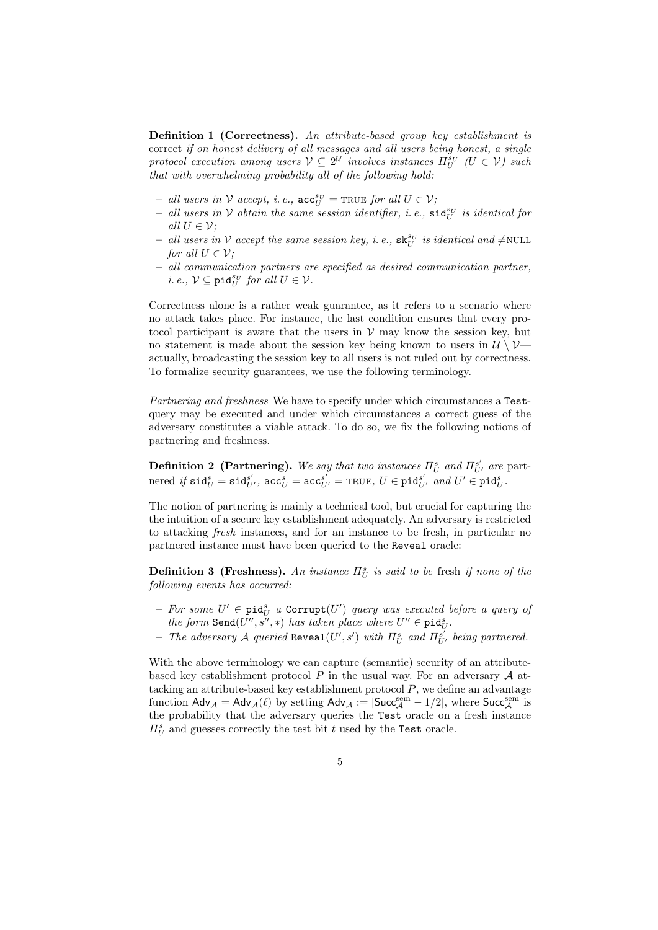Definition 1 (Correctness). An attribute-based group key establishment is correct if on honest delivery of all messages and all users being honest, a single protocol execution among users  $V \subseteq 2^{\mathcal{U}}$  involves instances  $\Pi_U^{sv}$  ( $U \in \mathcal{V}$ ) such that with overwhelming probability all of the following hold:

- all users in  $V$  accept, i.e.,  $\mathsf{acc}_{U}^{sv} = \text{TRUE}$  for all  $U \in V$ ;
- all users in V obtain the same session identifier, i.e.,  $\texttt{sid}^{s_U}_U$  is identical for all  $U \in \mathcal{V}$ :
- all users in V accept the same session key, i.e.,  $\mathtt{sk}^{sv}_U$  is identical and  $\neq$ NULL for all  $U \in \mathcal{V}$ ;
- all communication partners are specified as desired communication partner, *i.e.*,  $V \subseteq \text{pid}_{U}^{sv}$  for all  $U \in V$ .

Correctness alone is a rather weak guarantee, as it refers to a scenario where no attack takes place. For instance, the last condition ensures that every protocol participant is aware that the users in  $V$  may know the session key, but no statement is made about the session key being known to users in  $\mathcal{U} \setminus \mathcal{V}$ actually, broadcasting the session key to all users is not ruled out by correctness. To formalize security guarantees, we use the following terminology.

Partnering and freshness We have to specify under which circumstances a Testquery may be executed and under which circumstances a correct guess of the adversary constitutes a viable attack. To do so, we fix the following notions of partnering and freshness.

**Definition 2 (Partnering).** We say that two instances  $\Pi_U^s$  and  $\Pi_{U'}^{s'}$  are part- $\text{need} \; \textit{if} \; \texttt{sid}^{\textit{s}}_{U} = \texttt{sid}^{\textit{s}'}_{U'}, \, \texttt{acc}^{\textit{c}}_{U} = \texttt{acc}^{\textit{s}'}_{U'} = \texttt{TRUE}, \, U \in \texttt{pid}^{\textit{s}'}_{U'} \; \textit{and} \; U' \in \texttt{pid}^{\textit{s}}_{U}.$ 

The notion of partnering is mainly a technical tool, but crucial for capturing the the intuition of a secure key establishment adequately. An adversary is restricted to attacking fresh instances, and for an instance to be fresh, in particular no partnered instance must have been queried to the Reveal oracle:

**Definition 3 (Freshness).** An instance  $\Pi_U^s$  is said to be fresh if none of the following events has occurred:

- $-$  For some  $U' \in \texttt{pid}_U^s$  a  $\texttt{Corrupt}(U')$  query was executed before a query of the form  $\texttt{Send}(U'', s'', *)$  has taken place where  $U'' \in \text{pid}_{U}^s$ .
- The adversary A queried Reveal $(U', s')$  with  $\Pi_U^s$  and  $\Pi_{U'}^{s'}$  being partnered.

With the above terminology we can capture (semantic) security of an attributebased key establishment protocol P in the usual way. For an adversary A attacking an attribute-based key establishment protocol  $P$ , we define an advantage function  $\mathsf{Adv}_{\mathcal{A}} = \mathsf{Adv}_{\mathcal{A}}(\ell)$  by setting  $\mathsf{Adv}_{\mathcal{A}} := |\mathsf{Suc}_{\mathcal{A}}^{\mathsf{sem}} - 1/2|$ , where  $\mathsf{Suc}_{\mathcal{A}}^{\mathsf{sem}}$  is the probability that the adversary queries the Test oracle on a fresh instance  $\Pi_U^s$  and guesses correctly the test bit t used by the Test oracle.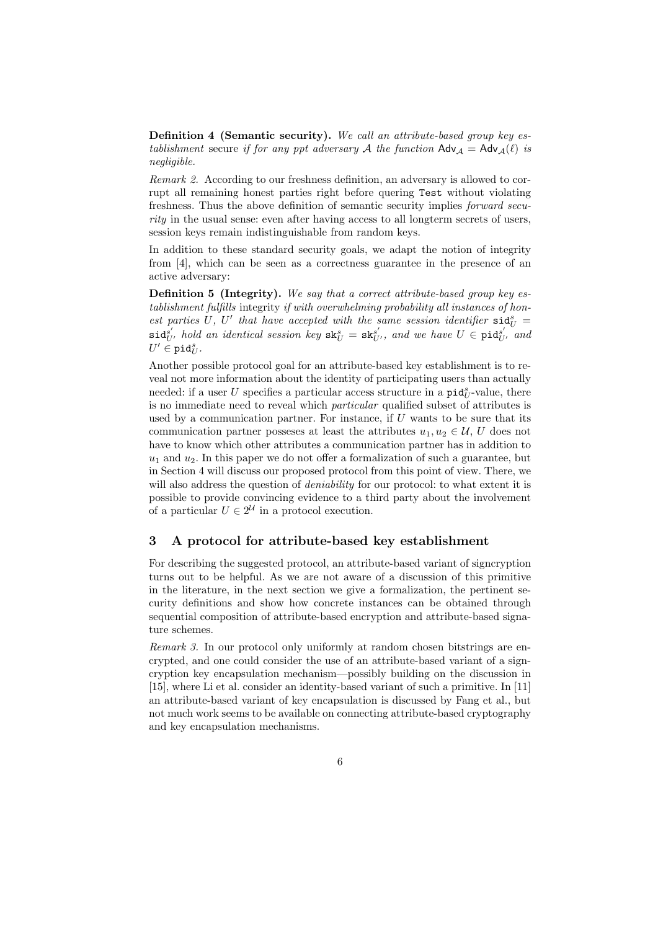Definition 4 (Semantic security). We call an attribute-based group key establishment secure if for any ppt adversary A the function  $\mathsf{Adv}_{\mathcal{A}} = \mathsf{Adv}_{\mathcal{A}}(\ell)$  is negligible.

Remark 2. According to our freshness definition, an adversary is allowed to corrupt all remaining honest parties right before quering Test without violating freshness. Thus the above definition of semantic security implies forward security in the usual sense: even after having access to all longterm secrets of users, session keys remain indistinguishable from random keys.

In addition to these standard security goals, we adapt the notion of integrity from [4], which can be seen as a correctness guarantee in the presence of an active adversary:

**Definition 5 (Integrity).** We say that a correct attribute-based group key establishment fulfills integrity if with overwhelming probability all instances of honest parties U, U' that have accepted with the same session identifier  $\text{sid}^s_U$  =  $\mathsf{sid}_{U'}^{s'}$  hold an identical session key  $\mathtt{sk}_{U}^s = \mathtt{sk}_{U'}^{s'}$ , and we have  $U \in \mathtt{pid}_{U'}^{s'}$  and  $U' \in \texttt{pid}_U^s$ .

Another possible protocol goal for an attribute-based key establishment is to reveal not more information about the identity of participating users than actually needed: if a user U specifies a particular access structure in a  $\text{pid}_{U}^s$ -value, there is no immediate need to reveal which particular qualified subset of attributes is used by a communication partner. For instance, if  $U$  wants to be sure that its communication partner possesses at least the attributes  $u_1, u_2 \in \mathcal{U}$ , U does not have to know which other attributes a communication partner has in addition to  $u_1$  and  $u_2$ . In this paper we do not offer a formalization of such a guarantee, but in Section 4 will discuss our proposed protocol from this point of view. There, we will also address the question of *deniability* for our protocol: to what extent it is possible to provide convincing evidence to a third party about the involvement of a particular  $U \in 2^{\mathcal{U}}$  in a protocol execution.

# 3 A protocol for attribute-based key establishment

For describing the suggested protocol, an attribute-based variant of signcryption turns out to be helpful. As we are not aware of a discussion of this primitive in the literature, in the next section we give a formalization, the pertinent security definitions and show how concrete instances can be obtained through sequential composition of attribute-based encryption and attribute-based signature schemes.

Remark 3. In our protocol only uniformly at random chosen bitstrings are encrypted, and one could consider the use of an attribute-based variant of a signcryption key encapsulation mechanism—possibly building on the discussion in [15], where Li et al. consider an identity-based variant of such a primitive. In [11] an attribute-based variant of key encapsulation is discussed by Fang et al., but not much work seems to be available on connecting attribute-based cryptography and key encapsulation mechanisms.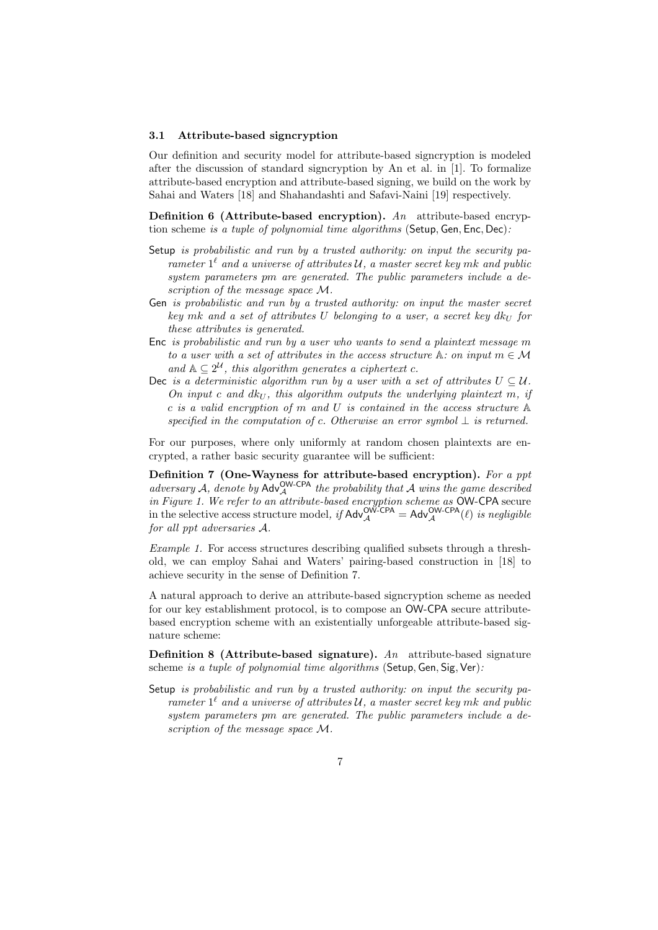#### 3.1 Attribute-based signcryption

Our definition and security model for attribute-based signcryption is modeled after the discussion of standard signcryption by An et al. in [1]. To formalize attribute-based encryption and attribute-based signing, we build on the work by Sahai and Waters [18] and Shahandashti and Safavi-Naini [19] respectively.

**Definition 6 (Attribute-based encryption).** An attribute-based encryption scheme is a tuple of polynomial time algorithms (Setup, Gen, Enc, Dec):

- Setup is probabilistic and run by a trusted authority: on input the security parameter  $1^{\ell}$  and a universe of attributes U, a master secret key mk and public system parameters pm are generated. The public parameters include a description of the message space M.
- Gen is probabilistic and run by a trusted authority: on input the master secret key mk and a set of attributes U belonging to a user, a secret key  $dk_U$  for these attributes is generated.
- Enc is probabilistic and run by a user who wants to send a plaintext message m to a user with a set of attributes in the access structure  $A:$  on input  $m \in \mathcal{M}$ and  $\mathbb{A} \subseteq 2^{\mathcal{U}}$ , this algorithm generates a ciphertext c.
- Dec is a deterministic algorithm run by a user with a set of attributes  $U \subseteq \mathcal{U}$ . On input c and  $dk_U$ , this algorithm outputs the underlying plaintext m, if c is a valid encryption of m and U is contained in the access structure  $\mathbb A$ specified in the computation of c. Otherwise an error symbol  $\perp$  is returned.

For our purposes, where only uniformly at random chosen plaintexts are encrypted, a rather basic security guarantee will be sufficient:

Definition 7 (One-Wayness for attribute-based encryption). For a ppt adversary A, denote by  $\mathsf{Adv}_{\mathcal{A}}^{\mathsf{OW-CPA}}$  the probability that A wins the game described in Figure 1. We refer to an attribute-based encryption scheme as OW-CPA secure in the selective access structure model, if  $\mathsf{Adv}_{\mathcal{A}}^{\mathsf{OW-CPA}} = \mathsf{Adv}_{\mathcal{A}}^{\mathsf{OW-CPA}}(\ell)$  is negligible for all ppt adversaries A.

Example 1. For access structures describing qualified subsets through a threshold, we can employ Sahai and Waters' pairing-based construction in [18] to achieve security in the sense of Definition 7.

A natural approach to derive an attribute-based signcryption scheme as needed for our key establishment protocol, is to compose an OW-CPA secure attributebased encryption scheme with an existentially unforgeable attribute-based signature scheme:

**Definition 8 (Attribute-based signature).** An attribute-based signature scheme is a tuple of polynomial time algorithms (Setup, Gen, Sig, Ver):

Setup is probabilistic and run by a trusted authority: on input the security parameter  $1^{\ell}$  and a universe of attributes U, a master secret key mk and public system parameters pm are generated. The public parameters include a description of the message space M.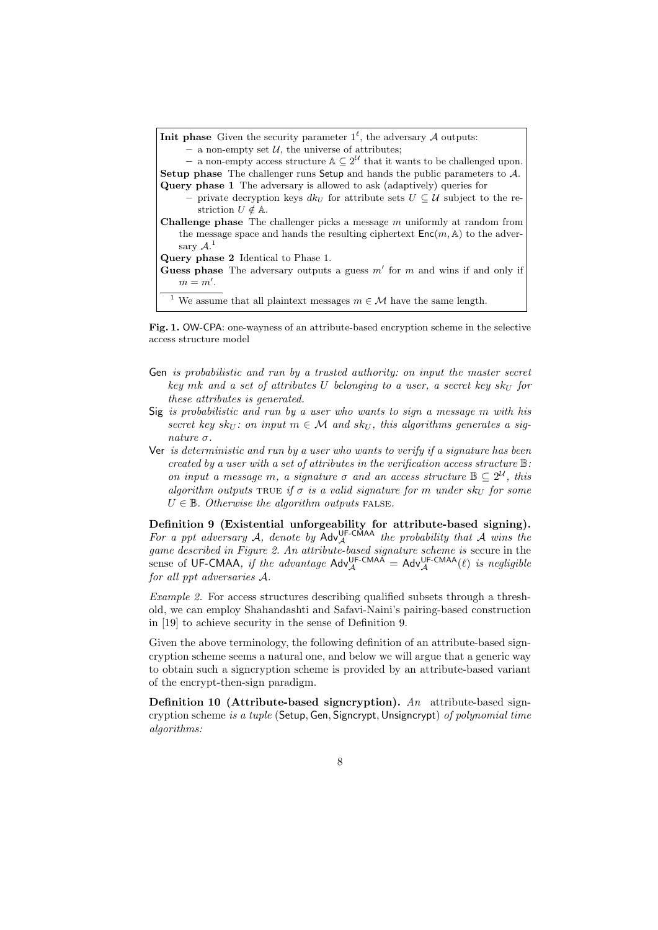| <b>Init phase</b> Given the security parameter $1^{\ell}$ , the adversary A outputs:                       |
|------------------------------------------------------------------------------------------------------------|
| - a non-empty set $\mathcal{U}$ , the universe of attributes;                                              |
| - a non-empty access structure $\mathbb{A} \subseteq 2^{\mathcal{U}}$ that it wants to be challenged upon. |
| <b>Setup phase</b> The challenger runs Setup and hands the public parameters to $A$ .                      |
| Query phase 1 The adversary is allowed to ask (adaptively) queries for                                     |
| - private decryption keys $dk_U$ for attribute sets $U \subset \mathcal{U}$ subject to the re-             |
| striction $U \notin \mathbb{A}$ .                                                                          |
| <b>Challenge phase</b> The challenger picks a message $m$ uniformly at random from                         |
| the message space and hands the resulting ciphertext $Enc(m, A)$ to the adver-                             |
| sary $\mathcal{A}.^1$                                                                                      |
| <b>Query phase 2</b> Identical to Phase 1.                                                                 |
| Guess phase The adversary outputs a guess $m'$ for $m$ and wins if and only if                             |
| $m = m'$ .                                                                                                 |
| <sup>1</sup> We assume that all plaintext messages $m \in \mathcal{M}$ have the same length.               |

Fig. 1. OW-CPA: one-wayness of an attribute-based encryption scheme in the selective access structure model

- Gen is probabilistic and run by a trusted authority: on input the master secret key mk and a set of attributes U belonging to a user, a secret key  $sk_U$  for these attributes is generated.
- Sig is probabilistic and run by a user who wants to sign a message m with his secret key sk<sub>U</sub>: on input  $m \in \mathcal{M}$  and sk<sub>U</sub>, this algorithms generates a signature  $\sigma$ .
- Ver is deterministic and run by a user who wants to verify if a signature has been created by a user with a set of attributes in the verification access structure  $\mathbb{B}$ : on input a message m, a signature  $\sigma$  and an access structure  $\mathbb{B} \subseteq 2^{\mathcal{U}}$ , this algorithm outputs TRUE if  $\sigma$  is a valid signature for m under  $sk_U$  for some  $U \in \mathbb{B}$ . Otherwise the algorithm outputs FALSE.

Definition 9 (Existential unforgeability for attribute-based signing). For a ppt adversary A, denote by  $\mathsf{Adv}_{\mathcal{A}}^{\mathsf{UF-CMAA}}$  the probability that A wins the game described in Figure 2. An attribute-based signature scheme is secure in the sense of UF-CMAA, if the advantage  $Adv_{\mathcal{A}}^{UF-CMAA} = Adv_{\mathcal{A}}^{UF-CMAA}(\ell)$  is negligible for all ppt adversaries A.

Example 2. For access structures describing qualified subsets through a threshold, we can employ Shahandashti and Safavi-Naini's pairing-based construction in [19] to achieve security in the sense of Definition 9.

Given the above terminology, the following definition of an attribute-based signcryption scheme seems a natural one, and below we will argue that a generic way to obtain such a signcryption scheme is provided by an attribute-based variant of the encrypt-then-sign paradigm.

Definition 10 (Attribute-based signcryption). An attribute-based signcryption scheme is a tuple (Setup, Gen, Signcrypt, Unsigncrypt) of polynomial time algorithms: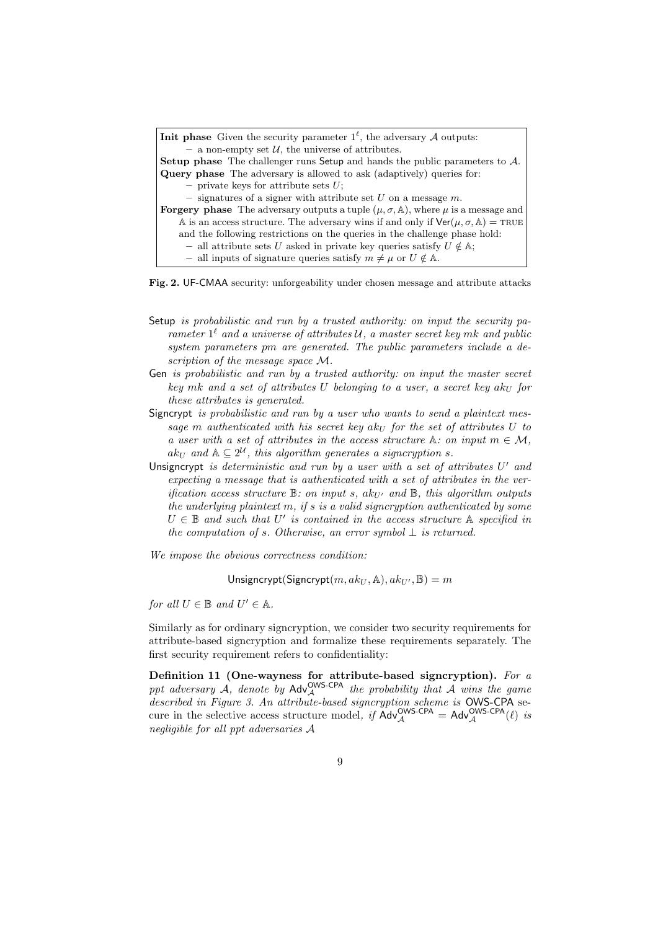Fig. 2. UF-CMAA security: unforgeability under chosen message and attribute attacks

- Setup is probabilistic and run by a trusted authority: on input the security parameter  $1^{\ell}$  and a universe of attributes U, a master secret key mk and public system parameters pm are generated. The public parameters include a description of the message space  $\mathcal{M}$ .
- Gen is probabilistic and run by a trusted authority: on input the master secret key mk and a set of attributes U belonging to a user, a secret key  $ak_{U}$  for these attributes is generated.
- Signcrypt is probabilistic and run by a user who wants to send a plaintext message m authenticated with his secret key ak<sub>U</sub> for the set of attributes U to a user with a set of attributes in the access structure  $\mathbb{A}$ : on input  $m \in \mathcal{M}$ ,  $ak_U$  and  $\mathbb{A} \subseteq 2^{\mathcal{U}}$ , this algorithm generates a signcryption s.
- Unsigncrypt is deterministic and run by a user with a set of attributes  $U'$  and expecting a message that is authenticated with a set of attributes in the verification access structure  $\mathbb{B}$ : on input s, ak<sub>U'</sub> and  $\mathbb{B}$ , this algorithm outputs the underlying plaintext m, if s is a valid signcryption authenticated by some  $U \in \mathbb{B}$  and such that  $U'$  is contained in the access structure  $\mathbb{A}$  specified in the computation of s. Otherwise, an error symbol  $\perp$  is returned.

We impose the obvious correctness condition:

Unsigncrypt(Signcrypt(m,  $ak_{U}$ , A),  $ak_{U'}$ ,  $B$ ) = m

for all  $U \in \mathbb{B}$  and  $U' \in \mathbb{A}$ .

Similarly as for ordinary signcryption, we consider two security requirements for attribute-based signcryption and formalize these requirements separately. The first security requirement refers to confidentiality:

Definition 11 (One-wayness for attribute-based signcryption). For a ppt adversary  $\mathcal{A}$ , denote by  $\mathsf{Adv}_{\mathcal{A}}^{\mathsf{OWS-CPA}}$  the probability that  $\mathcal{A}$  wins the game described in Figure 3. An attribute-based signcryption scheme is OWS-CPA secure in the selective access structure model, if  $Adv_{\mathcal{A}}^{OWS-CPA} = Adv_{\mathcal{A}}^{OWS-CPA}(\ell)$  is negligible for all ppt adversaries A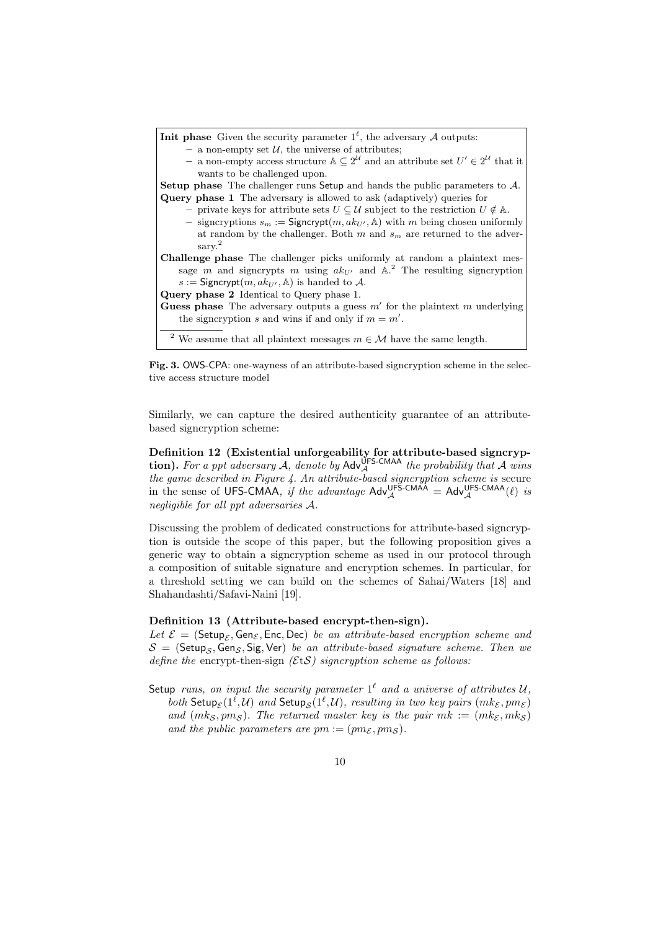

Fig. 3. OWS-CPA: one-wayness of an attribute-based signcryption scheme in the selective access structure model

Similarly, we can capture the desired authenticity guarantee of an attributebased signcryption scheme:

Definition 12 (Existential unforgeability for attribute-based signcryp**tion).** For a ppt adversary A, denote by  $\mathsf{Adv}_{\mathcal{A}}^{\mathsf{UFS-CMAA}}$  the probability that A wins the game described in Figure 4. An attribute-based signcryption scheme is secure in the sense of UFS-CMAA, if the advantage  $Adv_{\mathcal{A}}^{UFS-CMAA} = Adv_{\mathcal{A}}^{UFS-CMAA}(\ell)$  is negligible for all ppt adversaries A.

Discussing the problem of dedicated constructions for attribute-based signcryption is outside the scope of this paper, but the following proposition gives a generic way to obtain a signcryption scheme as used in our protocol through a composition of suitable signature and encryption schemes. In particular, for a threshold setting we can build on the schemes of Sahai/Waters [18] and Shahandashti/Safavi-Naini [19].

### Definition 13 (Attribute-based encrypt-then-sign).

Let  $\mathcal{E} = (\mathsf{Setup}_{\mathcal{E}}, \mathsf{Gen}_{\mathcal{E}}, \mathsf{Enc}, \mathsf{Dec})$  be an attribute-based encryption scheme and  $S =$  (Setup<sub>S</sub>, Gen<sub>S</sub>, Sig, Ver) be an attribute-based signature scheme. Then we define the encrypt-then-sign  $(\mathcal{E} tS)$  signcryption scheme as follows:

Setup runs, on input the security parameter  $1^{\ell}$  and a universe of attributes  $\mathcal{U},$ both Setup<sub>E</sub>( $1^{\ell}$ , $\mathcal{U}$ ) and Setup<sub>S</sub>( $1^{\ell}$ , $\mathcal{U}$ ), resulting in two key pairs ( $mk_{\mathcal{E}}, pm_{\mathcal{E}}$ ) and  $(mk<sub>S</sub>, pm<sub>S</sub>)$ . The returned master key is the pair  $mk := (mk<sub>S</sub>, mk<sub>S</sub>)$ and the public parameters are  $pm := (pm_{\mathcal{E}}, pm_{\mathcal{S}})$ .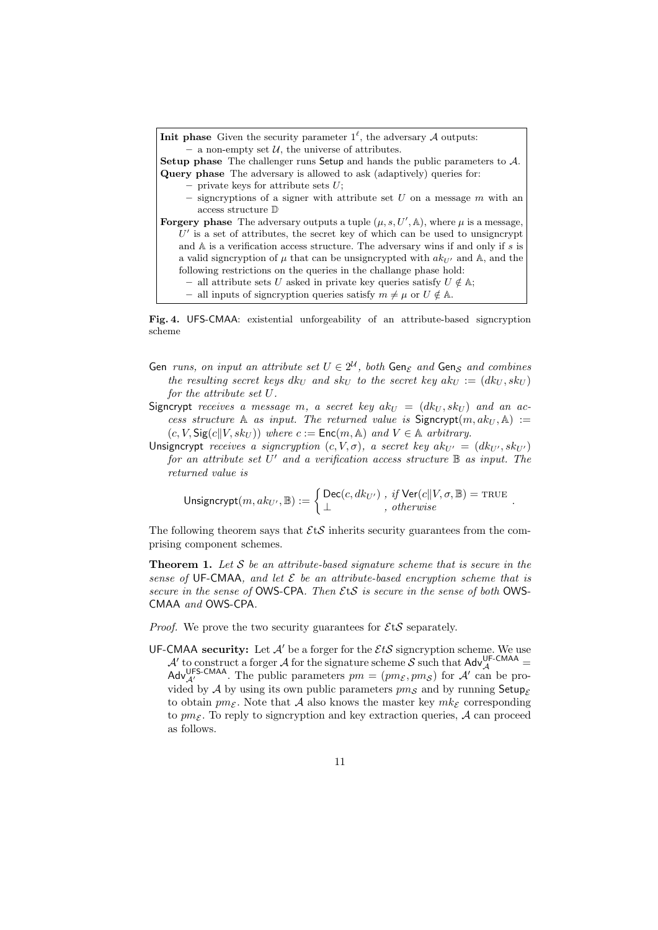Fig. 4. UFS-CMAA: existential unforgeability of an attribute-based signcryption scheme

- Gen runs, on input an attribute set  $U \in 2^{\mathcal{U}}$ , both Gen<sub> $\varepsilon$ </sub> and Gen<sub>S</sub> and combines the resulting secret keys  $dk_U$  and  $sk_U$  to the secret key  $ak_U := (dk_U, sk_U)$ for the attribute set U.
- Signcrypt receives a message m, a secret key  $ak_U = (dk_U, sk_U)$  and an access structure A as input. The returned value is  $Signcrypt(m, ak_U, A) :=$  $(c, V, \text{Sig}(c||V, sk_U))$  where  $c := \text{Enc}(m, \mathbb{A})$  and  $V \in \mathbb{A}$  arbitrary.
- Unsigncrypt receives a signcryption  $(c, V, \sigma)$ , a secret key  $ak_{U'} = (dk_{U'}, sk_{U'})$ for an attribute set  $U'$  and a verification access structure  $\mathbb B$  as input. The returned value is

$$
\text{Unsigncrypt}(m, ak_{U'}, \mathbb{B}) := \left\{ \begin{matrix} \text{Dec}(c,dk_{U'}) \text{ , if } \text{Ver}(c||V, \sigma, \mathbb{B}) = \text{TRUE} \\ \bot \text{ , otherwise} \end{matrix} \right. .
$$

The following theorem says that  $E \mathcal{E}$  inherits security guarantees from the comprising component schemes.

**Theorem 1.** Let S be an attribute-based signature scheme that is secure in the sense of UF-CMAA, and let  $\mathcal E$  be an attribute-based encryption scheme that is secure in the sense of OWS-CPA. Then  $E$ tS is secure in the sense of both OWS-CMAA and OWS-CPA.

*Proof.* We prove the two security guarantees for  $\mathcal{E}$ t $\mathcal{S}$  separately.

UF-CMAA security: Let  $\mathcal{A}'$  be a forger for the  $\mathcal{E}t\mathcal{S}$  signcryption scheme. We use A' to construct a forger A for the signature scheme S such that  $\mathsf{Adv}_{\mathcal{A}}^{\mathsf{UF-CMAA}}$ Adv<sup>UFS-CMAA</sup>. The public parameters  $pm = (pm_{\mathcal{E}}, pm_{\mathcal{S}})$  for  $\mathcal{A}'$  can be provided by A by using its own public parameters  $p_{m,s}$  and by running Setup<sub>E</sub> to obtain  $pm_{\mathcal{E}}$ . Note that A also knows the master key  $mk_{\mathcal{E}}$  corresponding to  $pm_{\mathcal{E}}$ . To reply to signcryption and key extraction queries,  $\mathcal{A}$  can proceed as follows.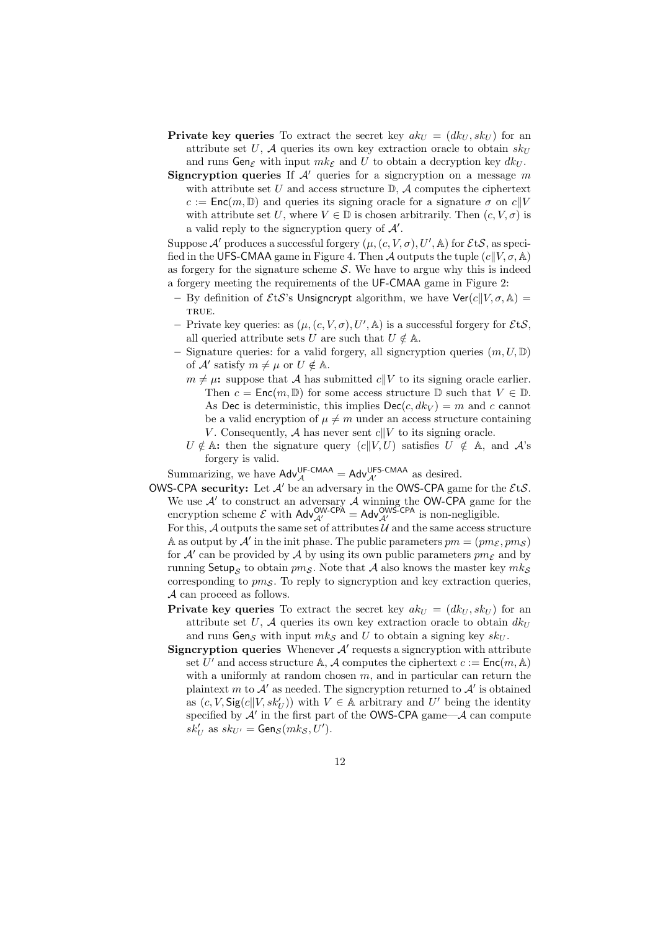- **Private key queries** To extract the secret key  $ak_U = (dk_U, sk_U)$  for an attribute set U, A queries its own key extraction oracle to obtain  $skU$ and runs Gen $_{\mathcal{E}}$  with input  $mk_{\mathcal{E}}$  and U to obtain a decryption key  $dk_U$ .
- **Signcryption queries** If  $A'$  queries for a signcryption on a message m with attribute set U and access structure  $\mathbb{D}$ , A computes the ciphertext  $c := \textsf{Enc}(m, \mathbb{D})$  and queries its signing oracle for a signature  $\sigma$  on  $c||V$ with attribute set U, where  $V \in \mathbb{D}$  is chosen arbitrarily. Then  $(c, V, \sigma)$  is a valid reply to the signcryption query of  $A'$ .

Suppose  $\mathcal{A}'$  produces a successful forgery  $(\mu, (c, V, \sigma), U', \mathbb{A})$  for  $\mathcal{E}$ t $\mathcal{S}$ , as specified in the UFS-CMAA game in Figure 4. Then A outputs the tuple  $(c||V, \sigma, \mathbb{A})$ as forgery for the signature scheme  $S$ . We have to argue why this is indeed a forgery meeting the requirements of the UF-CMAA game in Figure 2:

- By definition of  $\mathcal{E} t\mathcal{S}$ 's Unsigncrypt algorithm, we have  $\text{Ver}(c||V, \sigma, \mathbb{A}) =$ TRUE.
- Private key queries: as  $(\mu, (c, V, \sigma), U', \mathbb{A})$  is a successful forgery for  $\mathcal{E}$ t $\mathcal{S},$ all queried attribute sets U are such that  $U \notin A$ .
- Signature queries: for a valid forgery, all signcryption queries  $(m, U, \mathbb{D})$ of  $\mathcal{A}'$  satisfy  $m \neq \mu$  or  $U \notin \mathbb{A}$ .
	- $m \neq \mu$ : suppose that A has submitted  $c||V$  to its signing oracle earlier. Then  $c = \text{Enc}(m, \mathbb{D})$  for some access structure  $\mathbb{D}$  such that  $V \in \mathbb{D}$ . As Dec is deterministic, this implies  $\text{Dec}(c, dk_V) = m$  and c cannot be a valid encryption of  $\mu \neq m$  under an access structure containing V. Consequently, A has never sent  $c||V$  to its signing oracle.
	- $U \notin A$ : then the signature query  $(c||V, U)$  satisfies  $U \notin A$ , and  $A$ 's forgery is valid.

Summarizing, we have  $\mathsf{Adv}_{\mathcal{A}}^{\mathsf{UF}.\mathsf{CMAA}} = \mathsf{Adv}_{\mathcal{A}'}^{\mathsf{UFS}\text{-}\mathsf{CMAA}}$  as desired.

OWS-CPA security: Let  $A'$  be an adversary in the OWS-CPA game for the  $E$ t $S$ . We use  $\mathcal{A}'$  to construct an adversary  $\mathcal A$  winning the OW-CPA game for the encryption scheme  $\mathcal E$  with  $\mathsf{Adv}_{\mathcal A'}^{\mathsf{OW}\mathsf{CPA}} = \mathsf{Adv}_{\mathcal A'}^{\mathsf{OW}\mathsf{SCPA}}$  is non-negligible.

For this,  $A$  outputs the same set of attributes  $U$  and the same access structure A as output by  $\mathcal{A}'$  in the init phase. The public parameters  $pm = (pm_{\mathcal{E}}, pm_{\mathcal{S}})$ for  $A'$  can be provided by A by using its own public parameters  $pm_{\mathcal{E}}$  and by running Setup<sub>S</sub> to obtain  $pm_S$ . Note that A also knows the master key  $mk_S$ corresponding to  $p_{\text{ms}}$ . To reply to signcryption and key extraction queries, A can proceed as follows.

- **Private key queries** To extract the secret key  $ak_U = (dk_U, sk_U)$  for an attribute set U, A queries its own key extraction oracle to obtain  $dk_U$ and runs  $\mathsf{Gen}_{\mathcal{S}}$  with input  $mk_{\mathcal{S}}$  and U to obtain a signing key  $sk_{U}$ .
- Signcryption queries Whenever  $A'$  requests a signcryption with attribute set U' and access structure A, A computes the ciphertext  $c := \mathsf{Enc}(m, A)$ with a uniformly at random chosen  $m$ , and in particular can return the plaintext m to  $\mathcal{A}'$  as needed. The signcryption returned to  $\mathcal{A}'$  is obtained as  $(c, V, \text{Sig}(c|| V, sk_U'))$  with  $V \in \mathbb{A}$  arbitrary and U' being the identity specified by  $A'$  in the first part of the OWS-CPA game— $A$  can compute  $sk_U'$  as  $sk_{U'} = \mathsf{Gen}_{\mathcal{S}}(mk_{\mathcal{S}}, U').$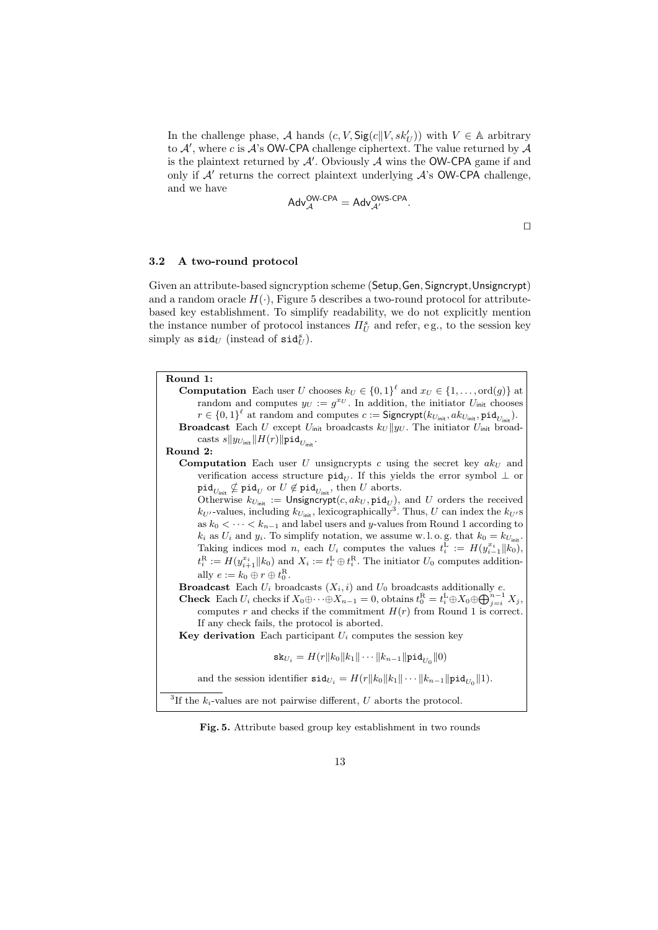In the challenge phase, A hands  $(c, V, \text{Sig}(c||V, sk'_U))$  with  $V \in \mathbb{A}$  arbitrary to  $A'$ , where c is  $A$ 's OW-CPA challenge ciphertext. The value returned by  $A$ is the plaintext returned by  $A'$ . Obviously  $A$  wins the OW-CPA game if and only if  $A'$  returns the correct plaintext underlying  $A$ 's OW-CPA challenge, and we have

$$
\mathsf{Adv}_{\mathcal{A}}^{\mathsf{OW}\text{-}\mathsf{CPA}} = \mathsf{Adv}_{\mathcal{A}'}^{\mathsf{OWS}\text{-}\mathsf{CPA}}.
$$

 $\Box$ 

### 3.2 A two-round protocol

Given an attribute-based signcryption scheme (Setup,Gen, Signcrypt,Unsigncrypt) and a random oracle  $H(\cdot)$ , Figure 5 describes a two-round protocol for attributebased key establishment. To simplify readability, we do not explicitly mention the instance number of protocol instances  $\Pi_U^s$  and refer, e.g., to the session key simply as  $\texttt{sid}_U$  (instead of  $\texttt{sid}_U^s$ ).

| Round 1:                                                                                                                                         |
|--------------------------------------------------------------------------------------------------------------------------------------------------|
| <b>Computation</b> Each user U chooses $k_U \in \{0,1\}^{\ell}$ and $x_U \in \{1,\ldots,\text{ord}(g)\}$ at                                      |
| random and computes $y_U := g^{x_U}$ . In addition, the initiator $U_{\text{init}}$ chooses                                                      |
| $r \in \{0,1\}^{\ell}$ at random and computes $c :=$ Signcrypt $(k_{U_{\text{init}}}, a k_{U_{\text{init}}}, \text{pid}_{U_{\text{init}}}).$     |
| <b>Broadcast</b> Each U except $U_{\text{init}}$ broadcasts $k_U    y_U$ . The initiator $U_{\text{init}}$ broad-                                |
| casts $s  y_{U_{\text{init}}}  H(r)  \text{pid}_{U_{\text{init}}}.$                                                                              |
| Round 2:                                                                                                                                         |
| <b>Computation</b> Each user U unsigncrypts c using the secret key $akU$ and                                                                     |
| verification access structure $\text{pid}_U$ . If this yields the error symbol $\perp$ or                                                        |
| $\texttt{pid}_{U_{\text{init}}} \nsubseteq \texttt{pid}_{U}$ or $U \not\in \texttt{pid}_{U_{\text{init}}}$ , then U aborts.                      |
| Otherwise $k_{U_{\text{init}}} := \text{Unsigncrypt}(c, ak_U, \text{pid}_U)$ , and U orders the received                                         |
| $k_{U'}$ -values, including $k_{U_{\text{init}}}$ , lexicographically <sup>3</sup> . Thus, U can index the $k_{U'}s$                             |
| as $k_0 < \cdots < k_{n-1}$ and label users and y-values from Round 1 according to                                                               |
| $k_i$ as $U_i$ and $y_i$ . To simplify notation, we assume w.l.o.g. that $k_0 = k_{U_{\text{init}}}$ .                                           |
| Taking indices mod <i>n</i> , each $U_i$ computes the values $t_i^L := H(y_{i-1}^{x_i}    k_0)$ ,                                                |
| $t_i^R := H(y_{i+1}^{x_i}    k_0)$ and $X_i := t_i^L \oplus t_i^R$ . The initiator $U_0$ computes addition-                                      |
| ally $e := k_0 \oplus r \oplus t_0^{\text{R}}$ .                                                                                                 |
| <b>Broadcast</b> Each $U_i$ broadcasts $(X_i, i)$ and $U_0$ broadcasts additionally e.                                                           |
| <b>Check</b> Each $U_i$ checks if $X_0 \oplus \cdots \oplus X_{n-1} = 0$ , obtains $t_0^R = t_i^L \oplus X_0 \oplus \bigoplus_{i=i}^{n-1} X_j$ , |
| computes r and checks if the commitment $H(r)$ from Round 1 is correct.                                                                          |
| If any check fails, the protocol is aborted.                                                                                                     |
| <b>Key derivation</b> Each participant $U_i$ computes the session key                                                                            |
|                                                                                                                                                  |
| $\mathtt{sk}_{U_i} = H(r  k_0  k_1   \cdots   k_{n-1}  \texttt{pid}_{U_0}  0)$                                                                   |
| and the session identifier $\text{sid}_{U_i} = H(r  k_0  k_1   \cdots   k_{n-1}  \text{pid}_{U_0}  1)$ .                                         |
| <sup>3</sup> If the $k_i$ -values are not pairwise different, U aborts the protocol.                                                             |
|                                                                                                                                                  |

Fig. 5. Attribute based group key establishment in two rounds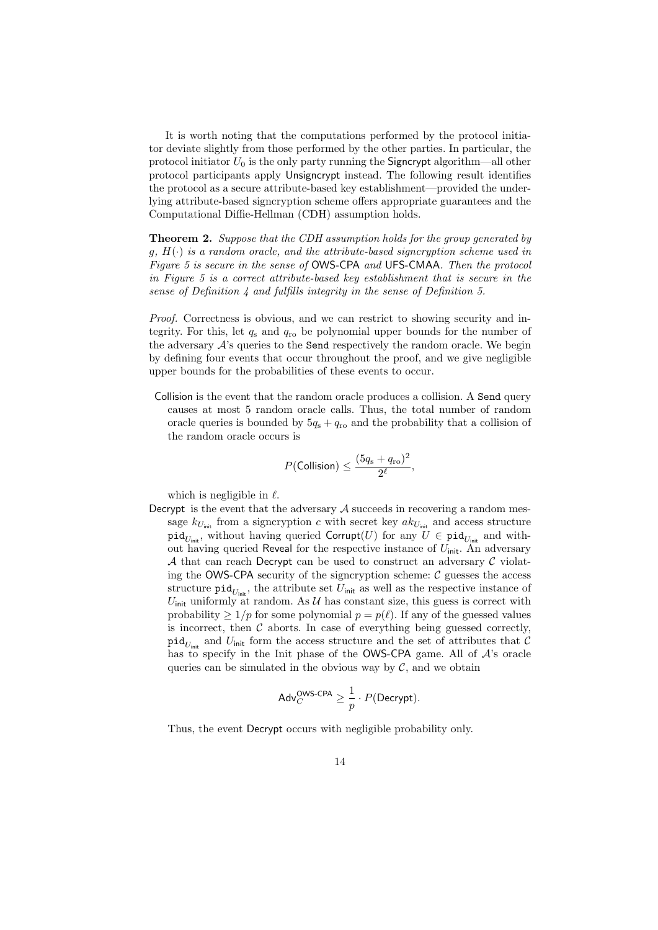It is worth noting that the computations performed by the protocol initiator deviate slightly from those performed by the other parties. In particular, the protocol initiator  $U_0$  is the only party running the Signcrypt algorithm—all other protocol participants apply Unsigncrypt instead. The following result identifies the protocol as a secure attribute-based key establishment—provided the underlying attribute-based signcryption scheme offers appropriate guarantees and the Computational Diffie-Hellman (CDH) assumption holds.

**Theorem 2.** Suppose that the CDH assumption holds for the group generated by  $g, H(\cdot)$  is a random oracle, and the attribute-based signcryption scheme used in Figure 5 is secure in the sense of OWS-CPA and UFS-CMAA. Then the protocol in Figure 5 is a correct attribute-based key establishment that is secure in the sense of Definition  $\lambda$  and fulfills integrity in the sense of Definition 5.

Proof. Correctness is obvious, and we can restrict to showing security and integrity. For this, let  $q_s$  and  $q_{ro}$  be polynomial upper bounds for the number of the adversary  $A$ 's queries to the **Send** respectively the random oracle. We begin by defining four events that occur throughout the proof, and we give negligible upper bounds for the probabilities of these events to occur.

Collision is the event that the random oracle produces a collision. A Send query causes at most 5 random oracle calls. Thus, the total number of random oracle queries is bounded by  $5q_s + q_{\text{ro}}$  and the probability that a collision of the random oracle occurs is

$$
P(\text{Collision}) \leq \frac{(5q_{\rm s} + q_{\rm ro})^2}{2^{\ell}},
$$

which is negligible in  $\ell$ .

Decrypt is the event that the adversary  $A$  succeeds in recovering a random message  $k_{U_{\text{init}}}$  from a signcryption c with secret key  $ak_{U_{\text{init}}}$  and access structure  $\mathtt{pid}_{U_{\text{init}}}$ , without having queried  $\mathsf{Corrupt}(U)$  for any  $U \in \mathtt{pid}_{U_{\text{init}}}$  and without having queried Reveal for the respective instance of  $U_{\text{init}}$ . An adversary A that can reach Decrypt can be used to construct an adversary  $\mathcal C$  violating the OWS-CPA security of the signcryption scheme:  $\mathcal C$  guesses the access structure  $\text{pid}_{U_{\text{init}}}$ , the attribute set  $U_{\text{init}}$  as well as the respective instance of  $U_{\text{init}}$  uniformly at random. As  $\mathcal U$  has constant size, this guess is correct with probability  $\geq 1/p$  for some polynomial  $p = p(\ell)$ . If any of the guessed values is incorrect, then  $\mathcal C$  aborts. In case of everything being guessed correctly,  $\operatorname{\mathsf{pid}}_{U_{\mathsf{init}}}$  and  $U_{\mathsf{init}}$  form the access structure and the set of attributes that  $\mathcal C$ has to specify in the Init phase of the **OWS-CPA** game. All of  $A$ 's oracle queries can be simulated in the obvious way by  $\mathcal{C}$ , and we obtain

$$
\mathsf{Adv}^{\mathsf{OWS-CPA}}_C \geq \frac{1}{p} \cdot P(\mathsf{Decrypt}).
$$

Thus, the event Decrypt occurs with negligible probability only.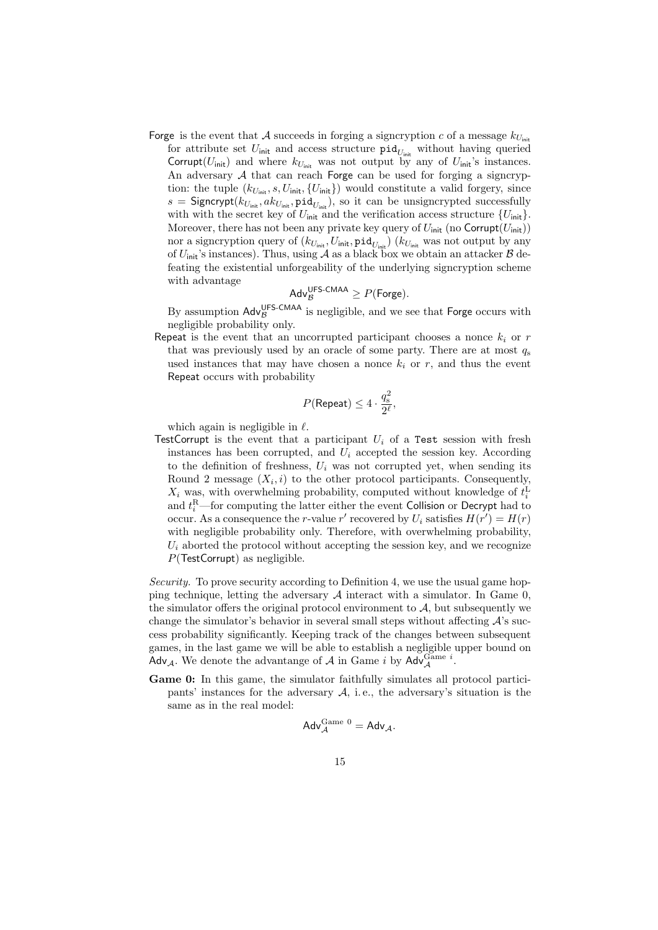- Forge is the event that A succeeds in forging a signcryption c of a message  $k_{U_{\text{init}}}$ 
	- for attribute set  $U_{\text{init}}$  and access structure  $\text{pid}_{U_{\text{init}}}$  without having queried Corrupt( $U_{\text{init}}$ ) and where  $k_{U_{\text{init}}}$  was not output by any of  $U_{\text{init}}$ 's instances. An adversary  $A$  that can reach Forge can be used for forging a signcryption: the tuple  $(k_{U_{\text{init}}}, s, U_{\text{init}}, \{U_{\text{init}}\})$  would constitute a valid forgery, since  $s =$  Signcrypt $(k_{U_{\text{init}}}, a k_{U_{\text{init}}}, \texttt{pid}_{U_{\text{init}}})$ , so it can be unsigncrypted successfully with with the secret key of  $U_{\text{init}}$  and the verification access structure  $\{U_{\text{init}}\}$ . Moreover, there has not been any private key query of  $U_{\text{init}}$  (no Corrupt( $U_{\text{init}}$ )) nor a signcryption query of  $(k_{U_{\text{init}}}, U_{\text{init}}, \text{pid}_{U_{\text{init}}})$   $(k_{U_{\text{init}}}$  was not output by any of  $U_{\text{init}}$ 's instances). Thus, using A as a black box we obtain an attacker B defeating the existential unforgeability of the underlying signcryption scheme with advantage

$$
Adv_{\mathcal{B}}^{UFS-CMAA} \geq P(\text{Forge}).
$$

By assumption  $\mathsf{Adv}_{\mathcal{B}}^{\mathsf{UFS\text{-}CMAA}}$  is negligible, and we see that Forge occurs with negligible probability only.

Repeat is the event that an uncorrupted participant chooses a nonce  $k_i$  or r that was previously used by an oracle of some party. There are at most  $q_s$ used instances that may have chosen a nonce  $k_i$  or r, and thus the event Repeat occurs with probability

$$
P(\text{Repeat}) \leq 4 \cdot \frac{q_{\text{s}}^2}{2^{\ell}},
$$

which again is negligible in  $\ell$ .

TestCorrupt is the event that a participant  $U_i$  of a Test session with fresh instances has been corrupted, and  $U_i$  accepted the session key. According to the definition of freshness,  $U_i$  was not corrupted yet, when sending its Round 2 message  $(X_i, i)$  to the other protocol participants. Consequently,  $X_i$  was, with overwhelming probability, computed without knowledge of  $t_i^L$ and  $t_i^{\rm R}$ —for computing the latter either the event Collision or Decrypt had to occur. As a consequence the *r*-value  $r'$  recovered by  $U_i$  satisfies  $H(r') = H(r)$ with negligible probability only. Therefore, with overwhelming probability,  $U_i$  aborted the protocol without accepting the session key, and we recognize  $P$ (TestCorrupt) as negligible.

Security. To prove security according to Definition 4, we use the usual game hopping technique, letting the adversary  $\mathcal A$  interact with a simulator. In Game 0, the simulator offers the original protocol environment to  $A$ , but subsequently we change the simulator's behavior in several small steps without affecting  $\mathcal{A}$ 's success probability significantly. Keeping track of the changes between subsequent games, in the last game we will be able to establish a negligible upper bound on Adv<sub>A</sub>. We denote the advantange of A in Game i by Adv<sup>Game i</sup>.

Game 0: In this game, the simulator faithfully simulates all protocol participants' instances for the adversary  $A$ , i.e., the adversary's situation is the same as in the real model:

$$
\mathsf{Adv}_{\mathcal{A}}^{\mathsf{Game}\ 0} = \mathsf{Adv}_{\mathcal{A}}.
$$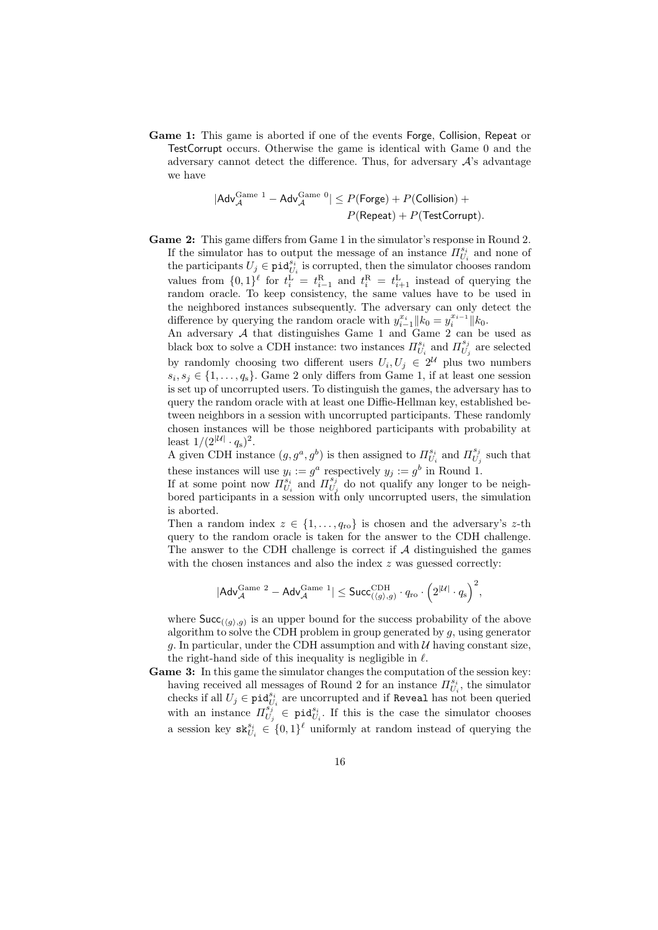Game 1: This game is aborted if one of the events Forge, Collision, Repeat or TestCorrupt occurs. Otherwise the game is identical with Game 0 and the adversary cannot detect the difference. Thus, for adversary  $A$ 's advantage we have

$$
|\mathsf{Adv}_{\mathcal{A}}^{\mathsf{Game 1}} - \mathsf{Adv}_{\mathcal{A}}^{\mathsf{Game 0}}| \leq P(\mathsf{Forge}) + P(\mathsf{Collision}) + \\ P(\mathsf{Repeat}) + P(\mathsf{TestCorrupt}).
$$

Game 2: This game differs from Game 1 in the simulator's response in Round 2. If the simulator has to output the message of an instance  $\Pi^{s_i}_{U_i}$  and none of the participants  $U_j \in \text{pid}_{U_i}^{s_i}$  is corrupted, then the simulator chooses random values from  $\{0,1\}^{\ell}$  for  $t_i^{\text{L}} = t_{i-1}^{\text{R}}$  and  $t_i^{\text{R}} = t_{i+1}^{\text{L}}$  instead of querying the random oracle. To keep consistency, the same values have to be used in the neighbored instances subsequently. The adversary can only detect the difference by querying the random oracle with  $y_{i-1}^{x_i} || k_0 = y_i^{x_{i-1}} || k_0$ .

An adversary A that distinguishes Game 1 and Game 2 can be used as black box to solve a CDH instance: two instances  $\Pi^{s_i}_{U_i}$  and  $\Pi^{s_j}_{U_i}$  $U_j$  are selected by randomly choosing two different users  $U_i, U_j \in 2^{\mathcal{U}}$  plus two numbers  $s_i, s_j \in \{1, \ldots, q_s\}$ . Game 2 only differs from Game 1, if at least one session is set up of uncorrupted users. To distinguish the games, the adversary has to query the random oracle with at least one Diffie-Hellman key, established between neighbors in a session with uncorrupted participants. These randomly chosen instances will be those neighbored participants with probability at least  $1/(2^{|U|} \cdot q_{\rm s})^2$ .

A given CDH instance  $(g, g^a, g^b)$  is then assigned to  $\Pi_{U_i}^{s_i}$  and  $\Pi_{U_i}^{s_j}$  $U_j$  such that these instances will use  $y_i := g^a$  respectively  $y_j := g^b$  in Round 1.

If at some point now  $\overline{H}_{U_i}^{s_i}$  and  $\overline{H}_{U_j}^{s_j}$  $U_j$  do not qualify any longer to be neighbored participants in a session with only uncorrupted users, the simulation is aborted.

Then a random index  $z \in \{1, \ldots, q_{\text{ro}}\}$  is chosen and the adversary's z-th query to the random oracle is taken for the answer to the CDH challenge. The answer to the CDH challenge is correct if  $A$  distinguished the games with the chosen instances and also the index  $z$  was guessed correctly:

$$
|\mathsf{Adv}_{\mathcal{A}}^{\mathsf{Game 2}}-\mathsf{Adv}_{\mathcal{A}}^{\mathsf{Game 1}}| \leq \mathsf{Succ}_{(\langle g\rangle, g)}^{\mathsf{CDH}}\cdot q_\mathsf{ro} \cdot \Big(2^{|\mathcal{U}|}\cdot q_\mathsf{s}\Big)^2,
$$

where  $\textsf{Succ}_{(\langle g \rangle, g)}$  is an upper bound for the success probability of the above algorithm to solve the CDH problem in group generated by  $g$ , using generator g. In particular, under the CDH assumption and with  $U$  having constant size, the right-hand side of this inequality is negligible in  $\ell$ .

Game 3: In this game the simulator changes the computation of the session key: having received all messages of Round 2 for an instance  $\Pi_{U_i}^{s_i}$ , the simulator checks if all  $U_j \in \text{pid}_{U_i}^{s_i}$  are uncorrupted and if Reveal has not been queried with an instance  $\Pi_{U}^{s_j}$  $\overline{U_j} \in \text{pid}_{U_i}^{s_i}$ . If this is the case the simulator chooses a session key  $\mathbf{sk}_{U_i}^{s_i} \in \{0,1\}^{\ell}$  uniformly at random instead of querying the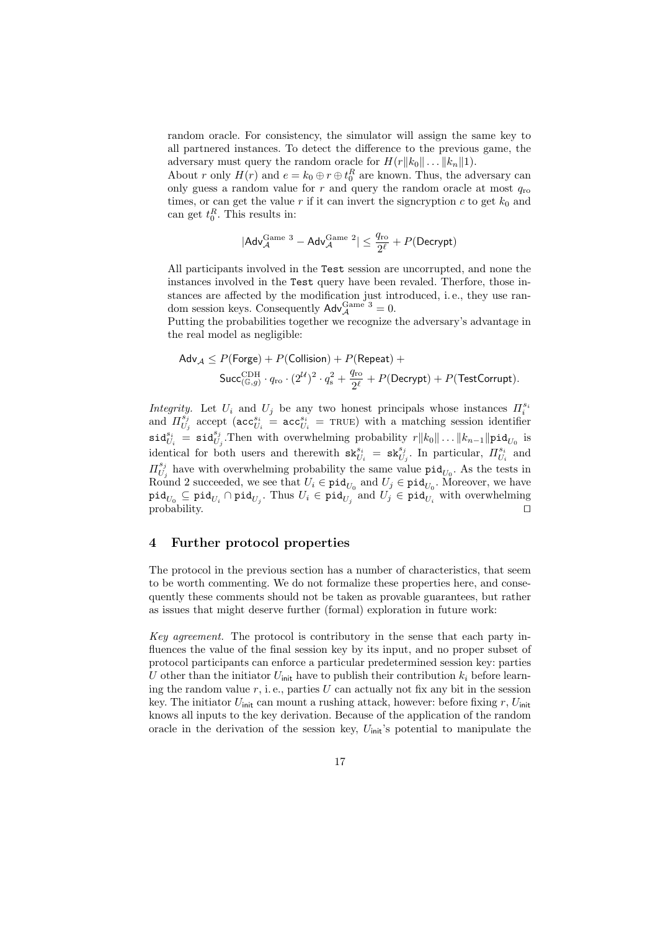random oracle. For consistency, the simulator will assign the same key to all partnered instances. To detect the difference to the previous game, the adversary must query the random oracle for  $H(r||k_0|| \dots ||k_n||1)$ .

About r only  $H(r)$  and  $e = k_0 \oplus r \oplus t_0^R$  are known. Thus, the adversary can only guess a random value for  $r$  and query the random oracle at most  $q_{\text{ro}}$ times, or can get the value r if it can invert the signcryption  $c$  to get  $k_0$  and can get  $t_0^R$ . This results in:

$$
|\mathsf{Adv}_{\mathcal{A}}^{\mathsf{Game 3}} - \mathsf{Adv}_{\mathcal{A}}^{\mathsf{Game 2}}| \le \frac{q_{\mathsf{ro}}}{2^\ell} + P(\mathsf{Decrypt})
$$

All participants involved in the Test session are uncorrupted, and none the instances involved in the Test query have been revaled. Therfore, those instances are affected by the modification just introduced, i. e., they use random session keys. Consequently  $\mathsf{Adv}_{\mathcal{A}}^{\mathsf{Game } 3} = 0$ .

Putting the probabilities together we recognize the adversary's advantage in the real model as negligible:

$$
\begin{aligned} \mathsf{Adv}_{\mathcal{A}} &\leq P(\mathsf{Forge}) + P(\mathsf{Collision}) + P(\mathsf{Repeat}) + \\ &\mathsf{Succ}^{\mathrm{CDH}}_{(\mathbb{G},g)} \cdot q_{\mathrm{ro}} \cdot (2^{\mathcal{U}})^2 \cdot q_{\mathrm{s}}^2 + \frac{q_{\mathrm{ro}}}{2^{\ell}} + P(\mathsf{Decrypt}) + P(\mathsf{TestCorrupt}). \end{aligned}
$$

Integrity. Let  $U_i$  and  $U_j$  be any two honest principals whose instances  $\Pi_i^{s_i}$ and  $\Pi_{U}^{s_j}$  $\frac{s_j}{U_j}$  accept ( $\texttt{acc}_{U_i}^{s_i} = \texttt{acc}_{U_i}^{s_i} = \texttt{TRUE}$ ) with a matching session identifier  $\texttt{sid}_{U_i}^{s_i} = \texttt{sid}_{U_j}^{s_j}$ . Then with overwhelming probability  $r||k_0|| \dots ||k_{n-1}||\texttt{pid}_{U_0}$  is identical for both users and therewith  $\mathtt{sk}_{U_i}^{s_i} = \mathtt{sk}_{U_j}^{s_j}$ . In particular,  $\Pi_{U_i}^{s_i}$  and  $\Pi_{II}^{s_j}$  $U_j$  have with overwhelming probability the same value  $\text{pid}_{U_0}$ . As the tests in Round 2 succeeded, we see that  $U_i \in \text{pid}_{U_0}$  and  $U_j \in \text{pid}_{U_0}$ . Moreover, we have  $\mathtt{pid}_{U_0}\subseteq\mathtt{pid}_{U_i}\cap\mathtt{pid}_{U_j}.$  Thus  $U_i\in\mathtt{pid}_{U_j}$  and  $U_j\in\mathtt{pid}_{U_i}$  with overwhelming probability.  $\Box$ 

### 4 Further protocol properties

The protocol in the previous section has a number of characteristics, that seem to be worth commenting. We do not formalize these properties here, and consequently these comments should not be taken as provable guarantees, but rather as issues that might deserve further (formal) exploration in future work:

Key agreement. The protocol is contributory in the sense that each party influences the value of the final session key by its input, and no proper subset of protocol participants can enforce a particular predetermined session key: parties U other than the initiator  $U_{\text{init}}$  have to publish their contribution  $k_i$  before learning the random value  $r$ , i.e., parties  $U$  can actually not fix any bit in the session key. The initiator  $U_{\text{init}}$  can mount a rushing attack, however: before fixing  $r$ ,  $U_{\text{init}}$ knows all inputs to the key derivation. Because of the application of the random oracle in the derivation of the session key,  $U_{init}$ 's potential to manipulate the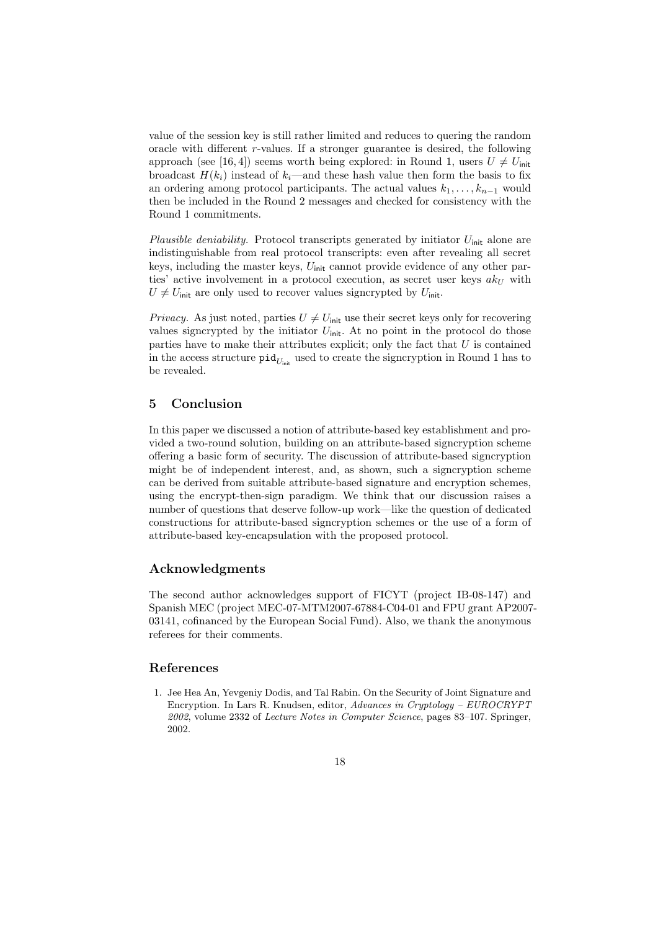value of the session key is still rather limited and reduces to quering the random oracle with different  $r$ -values. If a stronger guarantee is desired, the following approach (see [16, 4]) seems worth being explored: in Round 1, users  $U \neq U_{\text{init}}$ broadcast  $H(k_i)$  instead of  $k_i$ —and these hash value then form the basis to fix an ordering among protocol participants. The actual values  $k_1, \ldots, k_{n-1}$  would then be included in the Round 2 messages and checked for consistency with the Round 1 commitments.

Plausible deniability. Protocol transcripts generated by initiator  $U_{\text{init}}$  alone are indistinguishable from real protocol transcripts: even after revealing all secret keys, including the master keys,  $U_{\text{init}}$  cannot provide evidence of any other parties' active involvement in a protocol execution, as secret user keys  $ak<sub>U</sub>$  with  $U \neq U_{\text{init}}$  are only used to recover values signcrypted by  $U_{\text{init}}$ .

*Privacy.* As just noted, parties  $U \neq U_{\text{init}}$  use their secret keys only for recovering values signcrypted by the initiator  $U_{\text{init}}$ . At no point in the protocol do those parties have to make their attributes explicit; only the fact that  $U$  is contained in the access structure  $\text{pid}_{U_{\text{init}}}$  used to create the signcryption in Round 1 has to be revealed.

### 5 Conclusion

In this paper we discussed a notion of attribute-based key establishment and provided a two-round solution, building on an attribute-based signcryption scheme offering a basic form of security. The discussion of attribute-based signcryption might be of independent interest, and, as shown, such a signcryption scheme can be derived from suitable attribute-based signature and encryption schemes, using the encrypt-then-sign paradigm. We think that our discussion raises a number of questions that deserve follow-up work—like the question of dedicated constructions for attribute-based signcryption schemes or the use of a form of attribute-based key-encapsulation with the proposed protocol.

#### Acknowledgments

The second author acknowledges support of FICYT (project IB-08-147) and Spanish MEC (project MEC-07-MTM2007-67884-C04-01 and FPU grant AP2007- 03141, cofinanced by the European Social Fund). Also, we thank the anonymous referees for their comments.

#### References

1. Jee Hea An, Yevgeniy Dodis, and Tal Rabin. On the Security of Joint Signature and Encryption. In Lars R. Knudsen, editor, Advances in Cryptology – EUROCRYPT 2002, volume 2332 of Lecture Notes in Computer Science, pages 83–107. Springer, 2002.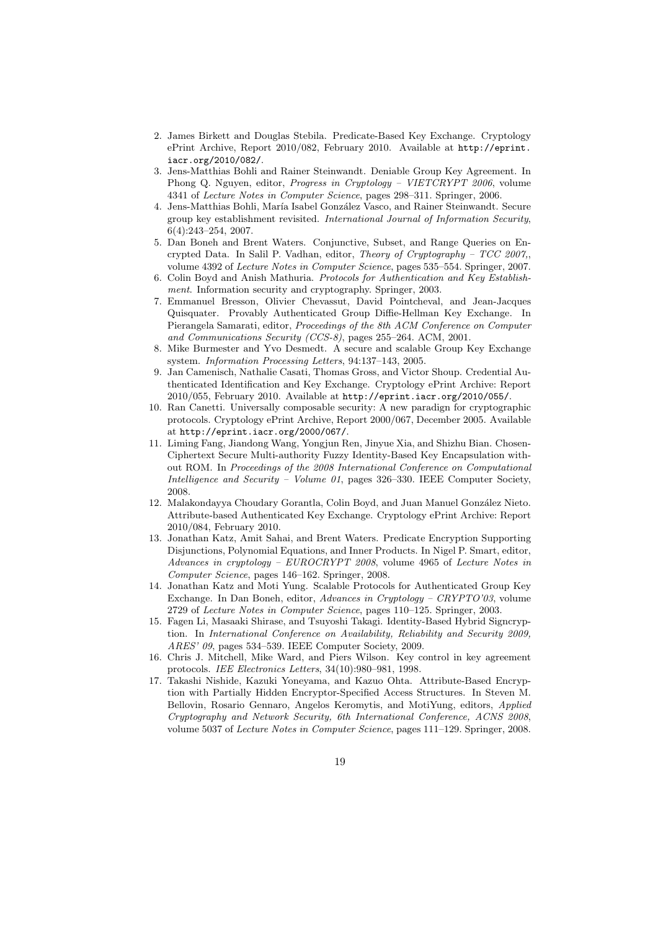- 2. James Birkett and Douglas Stebila. Predicate-Based Key Exchange. Cryptology ePrint Archive, Report 2010/082, February 2010. Available at http://eprint. iacr.org/2010/082/.
- 3. Jens-Matthias Bohli and Rainer Steinwandt. Deniable Group Key Agreement. In Phong Q. Nguyen, editor, Progress in Cryptology – VIETCRYPT 2006, volume 4341 of Lecture Notes in Computer Science, pages 298–311. Springer, 2006.
- 4. Jens-Matthias Bohli, María Isabel González Vasco, and Rainer Steinwandt. Secure group key establishment revisited. International Journal of Information Security, 6(4):243–254, 2007.
- 5. Dan Boneh and Brent Waters. Conjunctive, Subset, and Range Queries on Encrypted Data. In Salil P. Vadhan, editor, Theory of Cryptography – TCC 2007,, volume 4392 of Lecture Notes in Computer Science, pages 535–554. Springer, 2007.
- 6. Colin Boyd and Anish Mathuria. Protocols for Authentication and Key Establishment. Information security and cryptography. Springer, 2003.
- 7. Emmanuel Bresson, Olivier Chevassut, David Pointcheval, and Jean-Jacques Quisquater. Provably Authenticated Group Diffie-Hellman Key Exchange. In Pierangela Samarati, editor, Proceedings of the 8th ACM Conference on Computer and Communications Security (CCS-8), pages 255–264. ACM, 2001.
- 8. Mike Burmester and Yvo Desmedt. A secure and scalable Group Key Exchange system. Information Processing Letters, 94:137–143, 2005.
- 9. Jan Camenisch, Nathalie Casati, Thomas Gross, and Victor Shoup. Credential Authenticated Identification and Key Exchange. Cryptology ePrint Archive: Report 2010/055, February 2010. Available at http://eprint.iacr.org/2010/055/.
- 10. Ran Canetti. Universally composable security: A new paradign for cryptographic protocols. Cryptology ePrint Archive, Report 2000/067, December 2005. Available at http://eprint.iacr.org/2000/067/.
- 11. Liming Fang, Jiandong Wang, Yongjun Ren, Jinyue Xia, and Shizhu Bian. Chosen-Ciphertext Secure Multi-authority Fuzzy Identity-Based Key Encapsulation without ROM. In Proceedings of the 2008 International Conference on Computational Intelligence and Security – Volume 01, pages 326–330. IEEE Computer Society, 2008.
- 12. Malakondayya Choudary Gorantla, Colin Boyd, and Juan Manuel González Nieto. Attribute-based Authenticated Key Exchange. Cryptology ePrint Archive: Report 2010/084, February 2010.
- 13. Jonathan Katz, Amit Sahai, and Brent Waters. Predicate Encryption Supporting Disjunctions, Polynomial Equations, and Inner Products. In Nigel P. Smart, editor, Advances in cryptology – EUROCRYPT 2008, volume 4965 of Lecture Notes in Computer Science, pages 146–162. Springer, 2008.
- 14. Jonathan Katz and Moti Yung. Scalable Protocols for Authenticated Group Key Exchange. In Dan Boneh, editor, Advances in Cryptology – CRYPTO'03, volume 2729 of Lecture Notes in Computer Science, pages 110–125. Springer, 2003.
- 15. Fagen Li, Masaaki Shirase, and Tsuyoshi Takagi. Identity-Based Hybrid Signcryption. In International Conference on Availability, Reliability and Security 2009, ARES' 09, pages 534–539. IEEE Computer Society, 2009.
- 16. Chris J. Mitchell, Mike Ward, and Piers Wilson. Key control in key agreement protocols. IEE Electronics Letters, 34(10):980–981, 1998.
- 17. Takashi Nishide, Kazuki Yoneyama, and Kazuo Ohta. Attribute-Based Encryption with Partially Hidden Encryptor-Specified Access Structures. In Steven M. Bellovin, Rosario Gennaro, Angelos Keromytis, and MotiYung, editors, Applied Cryptography and Network Security, 6th International Conference, ACNS 2008, volume 5037 of Lecture Notes in Computer Science, pages 111–129. Springer, 2008.